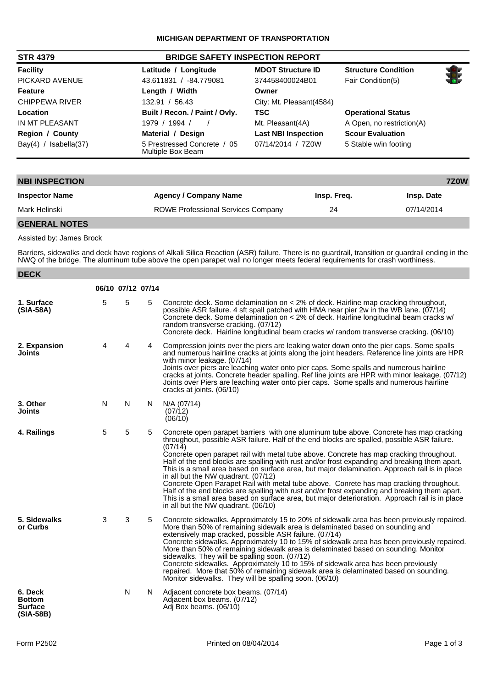| <b>STR 4379</b>          | <b>BRIDGE SAFETY INSPECTION REPORT</b>           |                            |                            |  |
|--------------------------|--------------------------------------------------|----------------------------|----------------------------|--|
| <b>Facility</b>          | Latitude / Longitude                             | <b>MDOT Structure ID</b>   | <b>Structure Condition</b> |  |
| PICKARD AVENUE           | -84.779081<br>43.611831 /                        | 374458400024B01            | Fair Condition(5)          |  |
| <b>Feature</b>           | Length / Width                                   | Owner                      |                            |  |
| CHIPPEWA RIVER           | 56.43<br>132.91                                  | City: Mt. Pleasant(4584)   |                            |  |
| Location                 | Built / Recon. / Paint / Ovly.                   | <b>TSC</b>                 | <b>Operational Status</b>  |  |
| IN MT PLEASANT           | 1979 / 1994 /                                    | Mt. Pleasant(4A)           | A Open, no restriction(A)  |  |
| <b>Region / County</b>   | Material / Design                                | <b>Last NBI Inspection</b> | <b>Scour Evaluation</b>    |  |
| Bay(4) /<br>Isabella(37) | 5 Prestressed Concrete / 05<br>Multiple Box Beam | 07/14/2014 / 7Z0W          | 5 Stable w/in footing      |  |

| <b>NBI INSPECTION</b>   |                                           |             | 7Z0W              |
|-------------------------|-------------------------------------------|-------------|-------------------|
| <b>Inspector Name</b>   | <b>Agency / Company Name</b>              | Insp. Freq. | <b>Insp. Date</b> |
| Mark Helinski           | <b>ROWE Professional Services Company</b> | 24          | 07/14/2014        |
| ------ <i>-----</i> --- |                                           |             |                   |

**GENERAL NOTES**

Assisted by: James Brock

Barriers, sidewalks and deck have regions of Alkali Silica Reaction (ASR) failure. There is no guardrail, transition or guardrail ending in the NWQ of the bridge. The aluminum tube above the open parapet wall no longer meets federal requirements for crash worthiness.

| <b>DECK</b>                                               |   |                   |    |                                                                                                                                                                                                                                                                                                                                                                                                                                                                                                                                                                                                                                                                                                                                                                                                                                                                          |
|-----------------------------------------------------------|---|-------------------|----|--------------------------------------------------------------------------------------------------------------------------------------------------------------------------------------------------------------------------------------------------------------------------------------------------------------------------------------------------------------------------------------------------------------------------------------------------------------------------------------------------------------------------------------------------------------------------------------------------------------------------------------------------------------------------------------------------------------------------------------------------------------------------------------------------------------------------------------------------------------------------|
|                                                           |   | 06/10 07/12 07/14 |    |                                                                                                                                                                                                                                                                                                                                                                                                                                                                                                                                                                                                                                                                                                                                                                                                                                                                          |
| 1. Surface<br>$(SIA-58A)$                                 | 5 | 5                 | 5  | Concrete deck. Some delamination on < 2% of deck. Hairline map cracking throughout,<br>possible ASR failure. 4 sft spall patched with HMA near pier 2w in the WB lane. (07/14)<br>Concrete deck. Some delamination on < 2% of deck. Hairline longitudinal beam cracks w/<br>random transverse cracking. (07/12)<br>Concrete deck. Hairline longitudinal beam cracks w/ random transverse cracking. (06/10)                                                                                                                                                                                                                                                                                                                                                                                                                                                               |
| 2. Expansion<br>Joints                                    | 4 | 4                 | 4  | Compression joints over the piers are leaking water down onto the pier caps. Some spalls<br>and numerous hairline cracks at joints along the joint headers. Reference line joints are HPR<br>with minor leakage. (07/14)<br>Joints over piers are leaching water onto pier caps. Some spalls and numerous hairline<br>cracks at joints. Concrete header spalling. Ref line joints are HPR with minor leakage. (07/12)<br>Joints over Piers are leaching water onto pier caps. Some spalls and numerous hairline<br>cracks at joints. (06/10)                                                                                                                                                                                                                                                                                                                             |
| 3. Other<br>Joints                                        | N | N                 | N. | N/A (07/14)<br>(07/12)<br>(06/10)                                                                                                                                                                                                                                                                                                                                                                                                                                                                                                                                                                                                                                                                                                                                                                                                                                        |
| 4. Railings                                               | 5 | 5                 | 5  | Concrete open parapet barriers with one aluminum tube above. Concrete has map cracking<br>throughout, possible ASR failure. Half of the end blocks are spalled, possible ASR failure.<br>(07/14)<br>Concrete open parapet rail with metal tube above. Concrete has map cracking throughout.<br>Half of the end blocks are spalling with rust and/or frost expanding and breaking them apart.<br>This is a small area based on surface area, but major delamination. Approach rail is in place<br>in all but the NW quadrant. (07/12)<br>Concrete Open Parapet Rail with metal tube above. Conrete has map cracking throughout.<br>Half of the end blocks are spalling with rust and/or frost expanding and breaking them apart.<br>This is a small area based on surface area, but major deterioration. Approach rail is in place<br>in all but the NW quadrant. (06/10) |
| 5. Sidewalks<br>or Curbs                                  | 3 | 3                 | 5  | Concrete sidewalks. Approximately 15 to 20% of sidewalk area has been previously repaired.<br>More than 50% of remaining sidewalk area is delaminated based on sounding and<br>extensively map cracked, possible ASR failure. (07/14)<br>Concrete sidewalks. Approximately 10 to 15% of sidewalk area has been previously repaired.<br>More than 50% of remaining sidewalk area is delaminated based on sounding. Monitor<br>sidewalks. They will be spalling soon. (07/12)<br>Concrete sidewalks. Approximately 10 to 15% of sidewalk area has been previously<br>repaired. More that 50% of remaining sidewalk area is delaminated based on sounding.<br>Monitor sidewalks. They will be spalling soon. (06/10)                                                                                                                                                        |
| 6. Deck<br><b>Bottom</b><br><b>Surface</b><br>$(SIA-58B)$ |   | N                 | N. | Adjacent concrete box beams. (07/14)<br>Adjacent box beams. (07/12)<br>Adj Box beams. (06/10)                                                                                                                                                                                                                                                                                                                                                                                                                                                                                                                                                                                                                                                                                                                                                                            |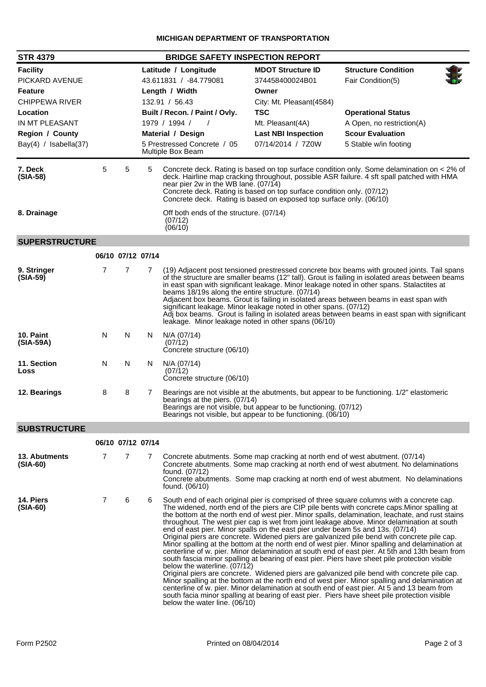| <b>STR 4379</b>             | <b>BRIDGE SAFETY INSPECTION REPORT</b> |                   |                        |                                                                                                                                                                                                                                                                                                                                                                                  |                            |                                                                                                                                                                                                                                                                                                                                                                                                                                                                                                                                                                                                                                                                                                                                                                                                                                                                                                                                                                                                                                                                                                                                                                                               |  |  |
|-----------------------------|----------------------------------------|-------------------|------------------------|----------------------------------------------------------------------------------------------------------------------------------------------------------------------------------------------------------------------------------------------------------------------------------------------------------------------------------------------------------------------------------|----------------------------|-----------------------------------------------------------------------------------------------------------------------------------------------------------------------------------------------------------------------------------------------------------------------------------------------------------------------------------------------------------------------------------------------------------------------------------------------------------------------------------------------------------------------------------------------------------------------------------------------------------------------------------------------------------------------------------------------------------------------------------------------------------------------------------------------------------------------------------------------------------------------------------------------------------------------------------------------------------------------------------------------------------------------------------------------------------------------------------------------------------------------------------------------------------------------------------------------|--|--|
| <b>Facility</b>             |                                        |                   |                        | Latitude / Longitude                                                                                                                                                                                                                                                                                                                                                             | <b>MDOT Structure ID</b>   | <b>Structure Condition</b>                                                                                                                                                                                                                                                                                                                                                                                                                                                                                                                                                                                                                                                                                                                                                                                                                                                                                                                                                                                                                                                                                                                                                                    |  |  |
| PICKARD AVENUE              |                                        |                   | 43.611831 / -84.779081 |                                                                                                                                                                                                                                                                                                                                                                                  | 374458400024B01            | Fair Condition(5)                                                                                                                                                                                                                                                                                                                                                                                                                                                                                                                                                                                                                                                                                                                                                                                                                                                                                                                                                                                                                                                                                                                                                                             |  |  |
| <b>Feature</b>              |                                        |                   | Length / Width         |                                                                                                                                                                                                                                                                                                                                                                                  | Owner                      |                                                                                                                                                                                                                                                                                                                                                                                                                                                                                                                                                                                                                                                                                                                                                                                                                                                                                                                                                                                                                                                                                                                                                                                               |  |  |
| <b>CHIPPEWA RIVER</b>       |                                        |                   |                        | 132.91 / 56.43                                                                                                                                                                                                                                                                                                                                                                   | City: Mt. Pleasant(4584)   |                                                                                                                                                                                                                                                                                                                                                                                                                                                                                                                                                                                                                                                                                                                                                                                                                                                                                                                                                                                                                                                                                                                                                                                               |  |  |
| Location                    |                                        |                   |                        | Built / Recon. / Paint / Ovly.                                                                                                                                                                                                                                                                                                                                                   | <b>TSC</b>                 | <b>Operational Status</b>                                                                                                                                                                                                                                                                                                                                                                                                                                                                                                                                                                                                                                                                                                                                                                                                                                                                                                                                                                                                                                                                                                                                                                     |  |  |
| IN MT PLEASANT              |                                        |                   |                        | 1979 / 1994 /<br>$\prime$                                                                                                                                                                                                                                                                                                                                                        | Mt. Pleasant(4A)           | A Open, no restriction(A)                                                                                                                                                                                                                                                                                                                                                                                                                                                                                                                                                                                                                                                                                                                                                                                                                                                                                                                                                                                                                                                                                                                                                                     |  |  |
| Region / County             |                                        |                   |                        | Material / Design                                                                                                                                                                                                                                                                                                                                                                | <b>Last NBI Inspection</b> | <b>Scour Evaluation</b>                                                                                                                                                                                                                                                                                                                                                                                                                                                                                                                                                                                                                                                                                                                                                                                                                                                                                                                                                                                                                                                                                                                                                                       |  |  |
| Bay(4) / Isabella(37)       |                                        |                   |                        | 07/14/2014 / 7Z0W<br>5 Prestressed Concrete / 05<br>5 Stable w/in footing<br>Multiple Box Beam                                                                                                                                                                                                                                                                                   |                            |                                                                                                                                                                                                                                                                                                                                                                                                                                                                                                                                                                                                                                                                                                                                                                                                                                                                                                                                                                                                                                                                                                                                                                                               |  |  |
| 7. Deck<br>$(SIA-58)$       | 5                                      | 5                 | 5                      | Concrete deck. Rating is based on top surface condition only. Some delamination on < 2% of<br>deck. Hairline map cracking throughout, possible ASR failure. 4 sft spall patched with HMA<br>near pier 2w in the WB lane. (07/14)<br>Concrete deck. Rating is based on top surface condition only. (07/12)<br>Concrete deck. Rating is based on exposed top surface only. (06/10) |                            |                                                                                                                                                                                                                                                                                                                                                                                                                                                                                                                                                                                                                                                                                                                                                                                                                                                                                                                                                                                                                                                                                                                                                                                               |  |  |
| 8. Drainage                 |                                        |                   |                        | Off both ends of the structure. (07/14)<br>(07/12)<br>(06/10)                                                                                                                                                                                                                                                                                                                    |                            |                                                                                                                                                                                                                                                                                                                                                                                                                                                                                                                                                                                                                                                                                                                                                                                                                                                                                                                                                                                                                                                                                                                                                                                               |  |  |
| <b>SUPERSTRUCTURE</b>       |                                        |                   |                        |                                                                                                                                                                                                                                                                                                                                                                                  |                            |                                                                                                                                                                                                                                                                                                                                                                                                                                                                                                                                                                                                                                                                                                                                                                                                                                                                                                                                                                                                                                                                                                                                                                                               |  |  |
|                             |                                        | 06/10 07/12 07/14 |                        |                                                                                                                                                                                                                                                                                                                                                                                  |                            |                                                                                                                                                                                                                                                                                                                                                                                                                                                                                                                                                                                                                                                                                                                                                                                                                                                                                                                                                                                                                                                                                                                                                                                               |  |  |
|                             |                                        |                   |                        |                                                                                                                                                                                                                                                                                                                                                                                  |                            |                                                                                                                                                                                                                                                                                                                                                                                                                                                                                                                                                                                                                                                                                                                                                                                                                                                                                                                                                                                                                                                                                                                                                                                               |  |  |
| 9. Stringer<br>$(SIA-59)$   | $\overline{7}$                         | 7                 | 7                      | beams 18/19s along the entire structure. (07/14)<br>significant leakage. Minor leakage noted in other spans. (07/12)<br>leakage. Minor leakage noted in other spans (06/10)                                                                                                                                                                                                      |                            | (19) Adjacent post tensioned prestressed concrete box beams with grouted joints. Tail spans<br>of the structure are smaller beams (12" tall). Grout is failing in isolated areas between beams<br>in east span with significant leakage. Minor leakage noted in other spans. Stalactites at<br>Adjacent box beams. Grout is failing in isolated areas between beams in east span with<br>Adj box beams. Grout is failing in isolated areas between beams in east span with significant                                                                                                                                                                                                                                                                                                                                                                                                                                                                                                                                                                                                                                                                                                        |  |  |
| 10. Paint<br>(SIA-59A)      | N                                      | N                 | N.                     | N/A (07/14)<br>(07/12)<br>Concrete structure (06/10)                                                                                                                                                                                                                                                                                                                             |                            |                                                                                                                                                                                                                                                                                                                                                                                                                                                                                                                                                                                                                                                                                                                                                                                                                                                                                                                                                                                                                                                                                                                                                                                               |  |  |
| 11. Section<br>Loss         | N                                      | N                 | N.                     | N/A (07/14)<br>(07/12)<br>Concrete structure (06/10)                                                                                                                                                                                                                                                                                                                             |                            |                                                                                                                                                                                                                                                                                                                                                                                                                                                                                                                                                                                                                                                                                                                                                                                                                                                                                                                                                                                                                                                                                                                                                                                               |  |  |
| 12. Bearings                | 8                                      | 8                 | 7                      | Bearings are not visible at the abutments, but appear to be functioning. 1/2" elastomeric<br>bearings at the piers. (07/14)<br>Bearings are not visible, but appear to be functioning. (07/12)<br>Bearings not visible, but appear to be functioning. (06/10)                                                                                                                    |                            |                                                                                                                                                                                                                                                                                                                                                                                                                                                                                                                                                                                                                                                                                                                                                                                                                                                                                                                                                                                                                                                                                                                                                                                               |  |  |
| <b>SUBSTRUCTURE</b>         |                                        |                   |                        |                                                                                                                                                                                                                                                                                                                                                                                  |                            |                                                                                                                                                                                                                                                                                                                                                                                                                                                                                                                                                                                                                                                                                                                                                                                                                                                                                                                                                                                                                                                                                                                                                                                               |  |  |
|                             |                                        | 06/10 07/12 07/14 |                        |                                                                                                                                                                                                                                                                                                                                                                                  |                            |                                                                                                                                                                                                                                                                                                                                                                                                                                                                                                                                                                                                                                                                                                                                                                                                                                                                                                                                                                                                                                                                                                                                                                                               |  |  |
|                             |                                        |                   |                        |                                                                                                                                                                                                                                                                                                                                                                                  |                            |                                                                                                                                                                                                                                                                                                                                                                                                                                                                                                                                                                                                                                                                                                                                                                                                                                                                                                                                                                                                                                                                                                                                                                                               |  |  |
| 13. Abutments<br>$(SIA-60)$ | 7                                      | 7                 | 7                      | Concrete abutments. Some map cracking at north end of west abutment. (07/14)<br>found. (07/12)<br>found. (06/10)                                                                                                                                                                                                                                                                 |                            | Concrete abutments. Some map cracking at north end of west abutment. No delaminations<br>Concrete abutments. Some map cracking at north end of west abutment. No delaminations                                                                                                                                                                                                                                                                                                                                                                                                                                                                                                                                                                                                                                                                                                                                                                                                                                                                                                                                                                                                                |  |  |
| 14. Piers<br>$(SIA-60)$     | 7                                      | 6                 | 6                      | end of east pier. Minor spalls on the east pier under beam 5s and 13s. (07/14)<br>below the waterline. (07/12)<br>below the water line. (06/10)                                                                                                                                                                                                                                  |                            | South end of each original pier is comprised of three square columns with a concrete cap.<br>The widened, north end of the piers are CIP pile bents with concrete caps. Minor spalling at<br>the bottom at the north end of west pier. Minor spalls, delamination, leachate, and rust stains<br>throughout. The west pier cap is wet from joint leakage above. Minor delamination at south<br>Original piers are concrete. Widened piers are galvanized pile bend with concrete pile cap.<br>Minor spalling at the bottom at the north end of west pier. Minor spalling and delamination at<br>centerline of w. pier. Minor delamination at south end of east pier. At 5th and 13th beam from<br>south fascia minor spalling at bearing of east pier. Piers have sheet pile protection visible<br>Original piers are concrete. Widened piers are galvanized pile bend with concrete pile cap.<br>Minor spalling at the bottom at the north end of west pier. Minor spalling and delamination at<br>centerline of w. pier. Minor delamination at south end of east pier. At 5 and 13 beam from<br>south facia minor spalling at bearing of east pier. Piers have sheet pile protection visible |  |  |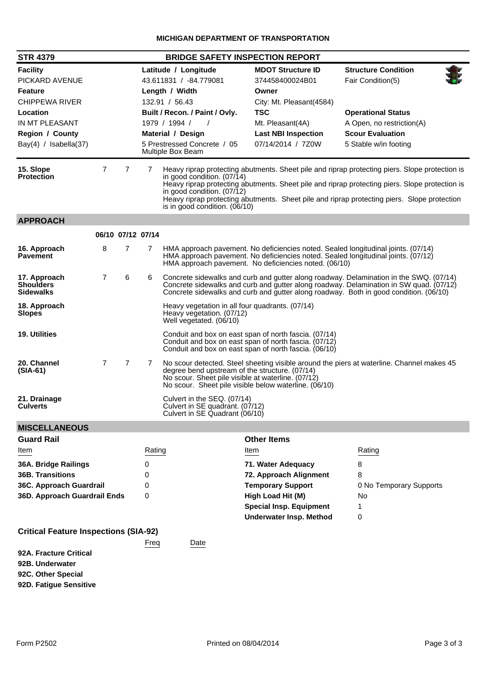| <b>STR 4379</b><br><b>BRIDGE SAFETY INSPECTION REPORT</b>                                                                                                     |                   |                |        |                                                                                                                                                                                                                                                                           |                                                                                                                                                                       |                                                                                                                                                                                                                                                                                                 |  |
|---------------------------------------------------------------------------------------------------------------------------------------------------------------|-------------------|----------------|--------|---------------------------------------------------------------------------------------------------------------------------------------------------------------------------------------------------------------------------------------------------------------------------|-----------------------------------------------------------------------------------------------------------------------------------------------------------------------|-------------------------------------------------------------------------------------------------------------------------------------------------------------------------------------------------------------------------------------------------------------------------------------------------|--|
| <b>Facility</b><br>PICKARD AVENUE<br><b>Feature</b><br><b>CHIPPEWA RIVER</b><br>Location<br>IN MT PLEASANT<br><b>Region / County</b><br>Bay(4) / Isabella(37) |                   |                |        | Latitude / Longitude<br>43.611831 / -84.779081<br>Length / Width<br>132.91 / 56.43<br>Built / Recon. / Paint / Ovly.<br>1979 / 1994 /<br>$\sqrt{ }$<br>Material / Design<br>5 Prestressed Concrete / 05<br>Multiple Box Beam                                              | <b>MDOT Structure ID</b><br>374458400024B01<br>Owner<br>City: Mt. Pleasant(4584)<br><b>TSC</b><br>Mt. Pleasant(4A)<br><b>Last NBI Inspection</b><br>07/14/2014 / 7Z0W | <b>Structure Condition</b><br>Fair Condition(5)<br><b>Operational Status</b><br>A Open, no restriction(A)<br><b>Scour Evaluation</b><br>5 Stable w/in footing                                                                                                                                   |  |
| 15. Slope<br><b>Protection</b>                                                                                                                                | 7                 | 7              | 7      | in good condition. $(07/14)$<br>in good condition. (07/12)<br>is in good condition. (06/10)                                                                                                                                                                               |                                                                                                                                                                       | Heavy riprap protecting abutments. Sheet pile and riprap protecting piers. Slope protection is<br>Heavy riprap protecting abutments. Sheet pile and riprap protecting piers. Slope protection is<br>Heavy riprap protecting abutments. Sheet pile and riprap protecting piers. Slope protection |  |
| <b>APPROACH</b>                                                                                                                                               |                   |                |        |                                                                                                                                                                                                                                                                           |                                                                                                                                                                       |                                                                                                                                                                                                                                                                                                 |  |
|                                                                                                                                                               | 06/10 07/12 07/14 |                |        |                                                                                                                                                                                                                                                                           |                                                                                                                                                                       |                                                                                                                                                                                                                                                                                                 |  |
| 16. Approach<br><b>Pavement</b>                                                                                                                               | 8                 | 7              | 7      |                                                                                                                                                                                                                                                                           | HMA approach pavement. No deficiencies noted. (06/10)                                                                                                                 | HMA approach pavement. No deficiencies noted. Sealed longitudinal joints. (07/14)<br>HMA approach pavement. No deficiencies noted. Sealed longitudinal joints. (07/12)                                                                                                                          |  |
| 17. Approach<br><b>Shoulders</b><br><b>Sidewalks</b>                                                                                                          | $\overline{7}$    | 6              | 6      | Concrete sidewalks and curb and gutter along roadway. Delamination in the SWQ. (07/14)<br>Concrete sidewalks and curb and gutter along roadway. Delamination in SW quad. (07/12)<br>Concrete sidewalks and curb and gutter along roadway. Both in good condition. (06/10) |                                                                                                                                                                       |                                                                                                                                                                                                                                                                                                 |  |
| 18. Approach<br><b>Slopes</b>                                                                                                                                 |                   |                |        | Heavy vegetation in all four quadrants. (07/14)<br>Heavy vegetation. (07/12)<br>Well vegetated. (06/10)                                                                                                                                                                   |                                                                                                                                                                       |                                                                                                                                                                                                                                                                                                 |  |
| <b>19. Utilities</b>                                                                                                                                          |                   |                |        | Conduit and box on east span of north fascia. (07/14)<br>Conduit and box on east span of north fascia. (07/12)<br>Conduit and box on east span of north fascia. (06/10)                                                                                                   |                                                                                                                                                                       |                                                                                                                                                                                                                                                                                                 |  |
| 20. Channel<br>$(SIA-61)$                                                                                                                                     | $\overline{7}$    | $\overline{7}$ | 7      | No scour detected. Steel sheeting visible around the piers at waterline. Channel makes 45<br>degree bend upstream of the structure. (07/14)<br>No scour. Sheet pile visible at waterline. (07/12)<br>No scour. Sheet pile visible below waterline. (06/10)                |                                                                                                                                                                       |                                                                                                                                                                                                                                                                                                 |  |
| 21. Drainage<br><b>Culverts</b>                                                                                                                               |                   |                |        | Culvert in the SEQ. (07/14)<br>Culvert in SE quadrant. (07/12)<br>Culvert in SE Quadrant (06/10)                                                                                                                                                                          |                                                                                                                                                                       |                                                                                                                                                                                                                                                                                                 |  |
| <b>MISCELLANEOUS</b>                                                                                                                                          |                   |                |        |                                                                                                                                                                                                                                                                           |                                                                                                                                                                       |                                                                                                                                                                                                                                                                                                 |  |
| <b>Guard Rail</b>                                                                                                                                             |                   |                |        |                                                                                                                                                                                                                                                                           | <b>Other Items</b>                                                                                                                                                    |                                                                                                                                                                                                                                                                                                 |  |
| Item                                                                                                                                                          |                   |                | Rating |                                                                                                                                                                                                                                                                           | Item                                                                                                                                                                  | Rating                                                                                                                                                                                                                                                                                          |  |
| 36A. Bridge Railings                                                                                                                                          |                   |                | 0      |                                                                                                                                                                                                                                                                           | 71. Water Adequacy                                                                                                                                                    | 8                                                                                                                                                                                                                                                                                               |  |
| <b>36B. Transitions</b>                                                                                                                                       |                   |                | 0      |                                                                                                                                                                                                                                                                           | 72. Approach Alignment                                                                                                                                                | 8                                                                                                                                                                                                                                                                                               |  |
| 36C. Approach Guardrail                                                                                                                                       |                   |                | 0<br>0 |                                                                                                                                                                                                                                                                           | <b>Temporary Support</b>                                                                                                                                              | 0 No Temporary Supports                                                                                                                                                                                                                                                                         |  |
| 36D. Approach Guardrail Ends                                                                                                                                  |                   |                |        |                                                                                                                                                                                                                                                                           | High Load Hit (M)<br><b>Special Insp. Equipment</b><br><b>Underwater Insp. Method</b>                                                                                 | No<br>1<br>0                                                                                                                                                                                                                                                                                    |  |
| <b>Critical Feature Inspections (SIA-92)</b>                                                                                                                  |                   |                |        |                                                                                                                                                                                                                                                                           |                                                                                                                                                                       |                                                                                                                                                                                                                                                                                                 |  |
| 92A. Fracture Critical<br>92B. Underwater<br>92C. Other Special<br>92D. Fatigue Sensitive                                                                     |                   |                | Freq   | Date                                                                                                                                                                                                                                                                      |                                                                                                                                                                       |                                                                                                                                                                                                                                                                                                 |  |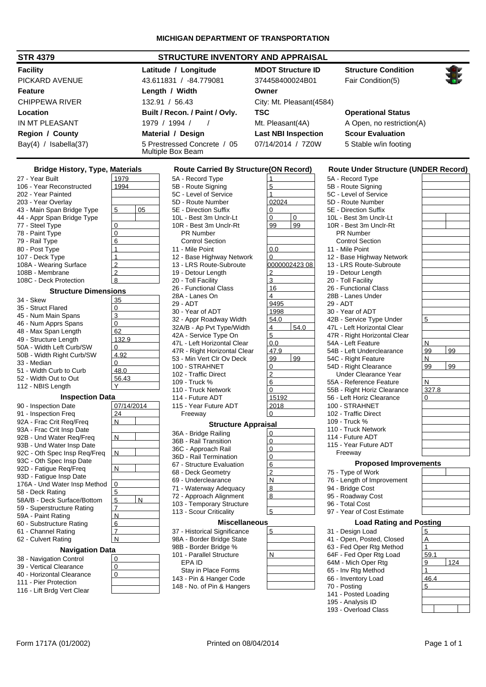| <b>STRUCTURE INVENTORY AND APPRAISAL</b><br><b>STR 4379</b> |                |                      |                                                                       |                            |                                             |  |
|-------------------------------------------------------------|----------------|----------------------|-----------------------------------------------------------------------|----------------------------|---------------------------------------------|--|
| <b>Facility</b>                                             |                | Latitude / Longitude | <b>MDOT Structure ID</b>                                              | <b>Structure Condition</b> |                                             |  |
| PICKARD AVENUE                                              |                |                      | 43.611831 / -84.779081                                                | 374458400024B01            | Fair Condition(5)                           |  |
| <b>Feature</b>                                              |                |                      | Length / Width                                                        | Owner                      |                                             |  |
| <b>CHIPPEWA RIVER</b>                                       |                |                      | 132.91 / 56.43                                                        | City: Mt. Pleasant(4584)   |                                             |  |
| Location                                                    |                |                      | Built / Recon. / Paint / Ovly.                                        | <b>TSC</b>                 | <b>Operational Status</b>                   |  |
| IN MT PLEASANT                                              |                |                      | 1979 / 1994 /                                                         | Mt. Pleasant(4A)           | A Open, no restriction(A)                   |  |
| <b>Region / County</b>                                      |                |                      | Material / Design                                                     | <b>Last NBI Inspection</b> | <b>Scour Evaluation</b>                     |  |
| Bay(4) / Isabella(37)                                       |                |                      | 5 Prestressed Concrete / 05<br>07/14/2014 / 7Z0W<br>Multiple Box Beam |                            | 5 Stable w/in footing                       |  |
| <b>Bridge History, Type, Materials</b>                      |                |                      | <b>Route Carried By Structure (ON Record)</b>                         |                            | <b>Route Under Structure (UNDER Record)</b> |  |
| 27 - Year Built                                             | 1979           |                      | 5A - Record Type                                                      |                            | 5A - Record Type                            |  |
| 106 - Year Reconstructed                                    | 1994           |                      | 5B - Route Signing                                                    | 5                          | 5B - Route Signing                          |  |
| 202 - Year Painted                                          |                |                      | 5C - Level of Service                                                 |                            | 5C - Level of Service                       |  |
| 203 - Year Overlay                                          |                |                      | 5D - Route Number                                                     | 02024                      | 5D - Route Number                           |  |
| 43 - Main Span Bridge Type                                  | 5              | 05                   | 5E - Direction Suffix                                                 | 0                          | 5E - Direction Suffix                       |  |
| 44 - Appr Span Bridge Type                                  |                |                      | 10L - Best 3m Unclr-Lt                                                | $\Omega$<br>0              | 10L - Best 3m Unclr-Lt                      |  |
| 77 - Steel Type                                             | 0              |                      | 10R - Best 3m Unclr-Rt                                                | 99<br>99                   | 10R - Best 3m Unclr-Rt                      |  |
| 78 - Paint Type                                             | $\Omega$       |                      | <b>PR Number</b>                                                      |                            | <b>PR Number</b>                            |  |
| 79 - Rail Type                                              | 6              |                      | <b>Control Section</b>                                                |                            | <b>Control Section</b>                      |  |
| 80 - Post Type                                              |                |                      | 11 - Mile Point                                                       | 0.0                        | 11 - Mile Point                             |  |
| 107 - Deck Type                                             |                |                      | 12 - Base Highway Network                                             | 0                          | 12 - Base Highway Network                   |  |
| 108A - Wearing Surface                                      | $\overline{2}$ |                      | 13 - LRS Route-Subroute                                               | 0000002423 08              | 13 - LRS Route-Subroute                     |  |
| 108B - Membrane                                             | $\overline{2}$ |                      | 19 - Detour Lenath                                                    | $\overline{2}$             | 19 - Detour Length                          |  |

#### **Structure Dimensions**

108B - Membrane 2<br>108C - Deck Protection 8

108C - Deck Protection

| 34 - Skew                    | 35             |   |
|------------------------------|----------------|---|
| 35 - Struct Flared           | 0              |   |
| 45 - Num Main Spans          | 3              |   |
| 46 - Num Apprs Spans         | 0              |   |
| 48 - Max Span Length         | 62             |   |
| 49 - Structure Length        | 132.9          |   |
| 50A - Width Left Curb/SW     | 0              |   |
| 50B - Width Right Curb/SW    | 4.92           |   |
| 33 - Median                  | 0              |   |
| 51 - Width Curb to Curb      | 48.0           |   |
| 52 - Width Out to Out        | 56.43          |   |
| 112 - NBIS Length            |                |   |
| <b>Inspection Data</b>       |                |   |
| 90 - Inspection Date         | 07/14/2014     |   |
| 91 - Inspection Freq         | 24             |   |
| 92A - Frac Crit Reg/Freg     | Ν              |   |
| 93A - Frac Crit Insp Date    |                |   |
| 92B - Und Water Reg/Freg     | N              |   |
| 93B - Und Water Insp Date    |                |   |
| 92C - Oth Spec Insp Req/Freq | N              |   |
| 93C - Oth Spec Insp Date     |                |   |
| 92D - Fatigue Reg/Freg       | Ν              |   |
| 93D - Fatigue Insp Date      |                |   |
| 176A - Und Water Insp Method | 0              |   |
| 58 - Deck Rating             | $\overline{5}$ |   |
| 58A/B - Deck Surface/Bottom  | 5              | N |
| 59 - Superstructure Rating   | $\overline{7}$ |   |
| 59A - Paint Rating           | N              |   |
| 60 - Substructure Rating     | 6              |   |
| 61 - Channel Rating          | $\overline{7}$ |   |
| 62 - Culvert Rating          | N              |   |
| <b>Navigation Data</b>       |                |   |
| 38 - Navigation Control      | 0              |   |
| 39 - Vertical Clearance      | 0              |   |
| 40 - Horizontal Clearance    | $\Omega$       |   |

| 111 - Pier Protection |  |
|-----------------------|--|
|-----------------------|--|

| 116 - Lift Brdg Vert Clear |  |
|----------------------------|--|
|----------------------------|--|

| <b>Route Carried By Structure(ON Record)</b>      |       |              |
|---------------------------------------------------|-------|--------------|
| 5A - Record Type                                  | 1     |              |
| 5B - Route Signing                                | 5     |              |
| 5C - Level of Service                             | 1     |              |
| 5D - Route Number                                 | 02024 |              |
| 5E - Direction Suffix                             | 0     |              |
| 10L - Best 3m Unclr-Lt                            | 0     | 0            |
| 10R - Best 3m Unclr-Rt                            | 99    | 99           |
| PR Number                                         |       |              |
| <b>Control Section</b>                            |       |              |
| 11 - Mile Point                                   | 0.0   |              |
| 12 - Base Highway Network                         | 0     |              |
| 13 - LRS Route-Subroute                           |       | 000000242308 |
| 19 - Detour Length                                | 2     |              |
|                                                   |       |              |
| 20 - Toll Facility                                | 3     |              |
| 26 - Functional Class                             | 16    |              |
| 28A - Lanes On                                    | 4     |              |
| 29 - ADT                                          | 9495  |              |
| 30 - Year of ADT                                  | 1998  |              |
| 32 - Appr Roadway Width                           | 54.0  |              |
| 32A/B - Ap Pvt Type/Width                         | 4     | 54.0         |
| 42A - Service Type On                             | 5     |              |
| 47L - Left Horizontal Clear                       | 0.0   |              |
| 47R - Right Horizontal Clear                      | 47.9  |              |
| 53 - Min Vert Clr Ov Deck                         | 99    | 99           |
| 100 - STRAHNET                                    | 0     |              |
| 102 - Traffic Direct                              | 2     |              |
| 109 - Truck %                                     | 6     |              |
| 110 - Truck Network                               | 0     |              |
| 114 - Future ADT                                  | 15192 |              |
| 115 - Year Future ADT                             | 2018  |              |
| Freeway                                           | 0     |              |
| <b>Structure Appraisal</b>                        |       |              |
| 36A - Bridge Railing                              | 0     |              |
| 36B - Rail Transition                             | 0     |              |
| 36C - Approach Rail                               | 0     |              |
| 36D - Rail Termination                            | 0     |              |
| 67 - Structure Evaluation                         | 6     |              |
| 68 - Deck Geometry                                | 2     |              |
| 69 - Underclearance                               | N     |              |
|                                                   | 8     |              |
| 71 - Waterway Adequacy<br>72 - Approach Alignment | 8     |              |
|                                                   |       |              |
| 103 - Temporary Structure                         |       |              |
| 113 - Scour Criticality                           | 5     |              |
| <b>Miscellaneous</b>                              |       |              |
| 37 - Historical Significance                      | 5     |              |
| 98A - Border Bridge State                         |       |              |

| <b>Miscellaneous</b>         |  |
|------------------------------|--|
| 37 - Historical Significance |  |
| 98A - Border Bridge State    |  |
| 98B - Border Bridge %        |  |
| 101 - Parallel Structure     |  |
| FPA ID                       |  |
| Stay in Place Forms          |  |
|                              |  |

143 - Pin & Hanger Code 148 - No. of Pin & Hangers

| :(ON Recora)             | J,             |
|--------------------------|----------------|
| $\overline{1}$           | 5              |
| 5                        | 5              |
| $\overline{1}$           | 5<br>5<br>5    |
| 02024                    |                |
| 0                        |                |
| $\mathbf 0$<br>0         | 1              |
| 99<br>99                 | 1              |
|                          |                |
| 0.0                      | 1              |
| $\mathbf 0$              | 1              |
|                          | 1              |
| $\frac{000000242308}{2}$ |                |
| $\overline{3}$           | $\frac{1}{2}$  |
| 16                       |                |
| $\overline{4}$           | $\frac{2}{2}$  |
| 9495                     | $\overline{c}$ |
|                          | 3              |
| 1998<br>54.0             | 4              |
| $\overline{4}$<br>54.0   | 4              |
| $\overline{5}$           | 4              |
| 0.0                      | 5              |
| 47.9                     | 5              |
| 99<br>99                 | 5              |
| $\overline{0}$           | 5              |
| $\overline{2}$           |                |
| 6                        | 5              |
| $\overline{0}$           | 5              |
| <u>15192</u><br>2018     | 5              |
|                          | 1              |
| $\overline{0}$           | 1              |
| sal                      | 1              |
| $\mathbf 0$              | 1<br>1         |
| $\overline{0}$           | 1              |
| 0                        |                |
| $\overline{0}$           |                |
| 6                        |                |
| $\overline{2}$           | 7              |
| N                        | 7              |
| 8                        | 9              |

| 5A - Record Type                                      |          |
|-------------------------------------------------------|----------|
| 5B - Route Signing                                    |          |
| 5C - Level of Service                                 |          |
| 5D - Route Number                                     |          |
| 5E - Direction Suffix                                 |          |
| 10L - Best 3m Unclr-Lt                                |          |
| 10R - Best 3m Unclr-Rt                                |          |
| <b>PR Number</b>                                      |          |
| <b>Control Section</b>                                |          |
| 11 - Mile Point                                       |          |
| 12 - Base Highway Network                             |          |
| 13 - LRS Route-Subroute                               |          |
| 19 - Detour Length                                    |          |
| 20 - Toll Facility                                    |          |
| 26 - Functional Class                                 |          |
| 28B - Lanes Under                                     |          |
| 29 - ADT                                              |          |
| 30 - Year of ADT                                      |          |
| 42B - Service Type Under                              | 5        |
| 47L - Left Horizontal Clear                           |          |
| 47R - Right Horizontal Clear                          |          |
| 54A - Left Feature                                    | Ν        |
| 54B - Left Underclearance                             | 99<br>99 |
| 54C - Right Feature                                   | N        |
| 54D - Right Clearance                                 | 99<br>99 |
| <b>Under Clearance Year</b>                           |          |
| 55A - Reference Feature                               | Ν        |
| 55B - Right Horiz Clearance                           | 327.8    |
| 56 - Left Horiz Clearance                             | 0        |
| 100 - STRAHNET                                        |          |
| 102 - Traffic Direct                                  |          |
| 109 - Truck %                                         |          |
| 110 - Truck Network                                   |          |
| 114 - Future ADT                                      |          |
| 115 - Year Future ADT                                 |          |
| Freeway                                               |          |
|                                                       |          |
| <b>Proposed Improvements</b>                          |          |
| 75 - Type of Work                                     |          |
| 76 - Length of Improvement                            |          |
| 94 - Bridge Cost                                      |          |
| 95 - Roadway Cost                                     |          |
| 96 - Total Cost                                       |          |
| 97 - Year of Cost Estimate                            |          |
| <b>Load Rating and Posting</b>                        |          |
| 31 - Design Load                                      | 5        |
|                                                       |          |
|                                                       | Α        |
| 41 - Open, Posted, Closed<br>63 - Fed Oper Rtg Method | 1        |
|                                                       |          |

64M - Mich Oper Rtg  $\sqrt{9}$  | 124 65 - Inv Rtg Method <u>1</u> 66 - Inventory Load <u>46.4</u>  $70 -$  Posting  $\overline{5}$ 141 - Posted Loading

195 - Analysis ID 193 - Overload Class